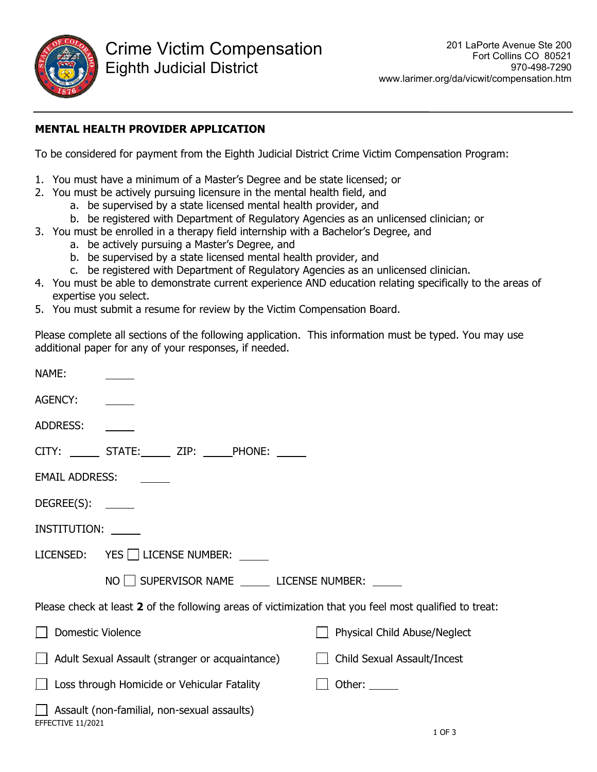

## **MENTAL HEALTH PROVIDER APPLICATION**

To be considered for payment from the Eighth Judicial District Crime Victim Compensation Program:

- 1. You must have a minimum of a Master's Degree and be state licensed; or
- 2. You must be actively pursuing licensure in the mental health field, and
	- a. be supervised by a state licensed mental health provider, and
	- b. be registered with Department of Regulatory Agencies as an unlicensed clinician; or
- 3. You must be enrolled in a therapy field internship with a Bachelor's Degree, and
	- a. be actively pursuing a Master's Degree, and
	- b. be supervised by a state licensed mental health provider, and
	- c. be registered with Department of Regulatory Agencies as an unlicensed clinician.
- 4. You must be able to demonstrate current experience AND education relating specifically to the areas of expertise you select.
- 5. You must submit a resume for review by the Victim Compensation Board.

Please complete all sections of the following application. This information must be typed. You may use additional paper for any of your responses, if needed.

| NAME:               |                                                                                                        |                                    |
|---------------------|--------------------------------------------------------------------------------------------------------|------------------------------------|
| <b>AGENCY:</b>      |                                                                                                        |                                    |
| <b>ADDRESS:</b>     |                                                                                                        |                                    |
|                     | CITY: _______ STATE:______ ZIP: ______PHONE: ______                                                    |                                    |
| EMAIL ADDRESS:      |                                                                                                        |                                    |
| $DEGREE(S): \_\_$   |                                                                                                        |                                    |
| INSTITUTION: ______ |                                                                                                        |                                    |
|                     | LICENSED: YES LICENSE NUMBER: U                                                                        |                                    |
|                     | NO SUPERVISOR NAME LICENSE NUMBER:                                                                     |                                    |
|                     | Please check at least 2 of the following areas of victimization that you feel most qualified to treat: |                                    |
| □ Domestic Violence |                                                                                                        | Physical Child Abuse/Neglect       |
|                     | Adult Sexual Assault (stranger or acquaintance)                                                        | $\Box$ Child Sexual Assault/Incest |
|                     | $\Box$ Loss through Homicide or Vehicular Fatality                                                     | Other: $\_\_$                      |
| EFFECTIVE 11/2021   | $\Box$ Assault (non-familial, non-sexual assaults)                                                     |                                    |
|                     |                                                                                                        | 1 OF 3                             |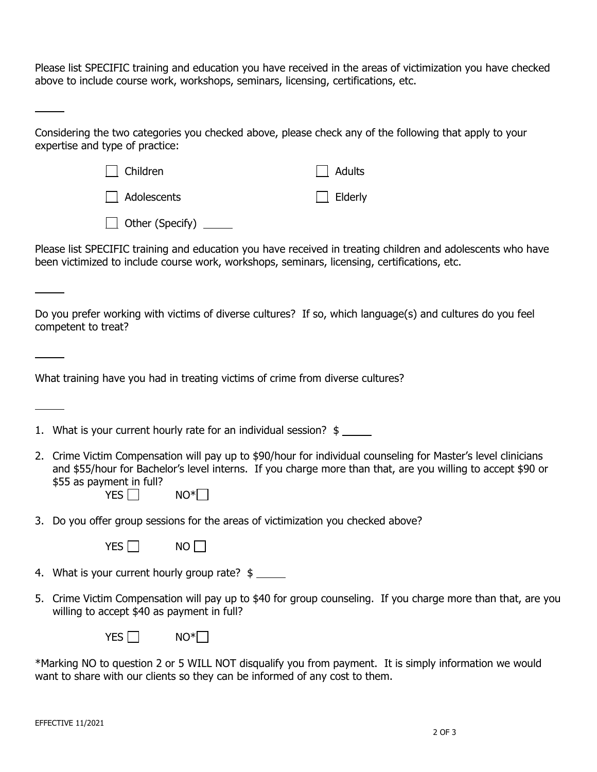Please list SPECIFIC training and education you have received in the areas of victimization you have checked above to include course work, workshops, seminars, licensing, certifications, etc.

| Considering the two categories you checked above, please check any of the following that apply to your |  |  |
|--------------------------------------------------------------------------------------------------------|--|--|
| expertise and type of practice:                                                                        |  |  |

| Children                      | $\vert$ $\vert$ Adults |
|-------------------------------|------------------------|
| Adolescents                   | $\Box$ Elderly         |
| $\Box$ Other (Specify) $\Box$ |                        |

Please list SPECIFIC training and education you have received in treating children and adolescents who have been victimized to include course work, workshops, seminars, licensing, certifications, etc.

Do you prefer working with victims of diverse cultures? If so, which language(s) and cultures do you feel competent to treat?

What training have you had in treating victims of crime from diverse cultures?

|  |  | 1. What is your current hourly rate for an individual session? \$ |  |  |  |  |  |  |
|--|--|-------------------------------------------------------------------|--|--|--|--|--|--|
|--|--|-------------------------------------------------------------------|--|--|--|--|--|--|

- 2. Crime Victim Compensation will pay up to \$90/hour for individual counseling for Master's level clinicians and \$55/hour for Bachelor's level interns. If you charge more than that, are you willing to accept \$90 or \$55 as payment in full?
	- $YES \Box$  NO<sup>\*</sup>
- 3. Do you offer group sessions for the areas of victimization you checked above?

| NΟ<br>vec |
|-----------|
|-----------|

4. What is your current hourly group rate? \$

5. Crime Victim Compensation will pay up to \$40 for group counseling. If you charge more than that, are you willing to accept \$40 as payment in full?

 $YES \Box$  NO<sup>\*</sup>

\*Marking NO to question 2 or 5 WILL NOT disqualify you from payment. It is simply information we would want to share with our clients so they can be informed of any cost to them.

l

 $\overline{\phantom{a}}$ 

 $\overline{a}$ 

 $\overline{\phantom{a}}$